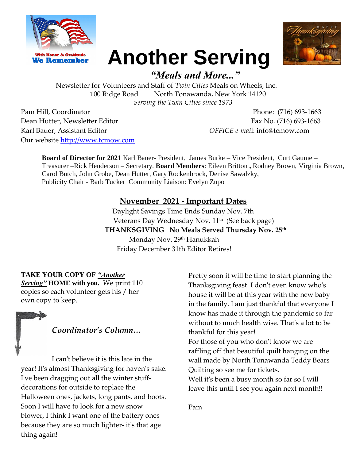



# **Another Serving**

# *"Meals and More..."*

Newsletter for Volunteers and Staff of *Twin Cities* Meals on Wheels, Inc. 100 Ridge Road North Tonawanda, New York 14120 *Serving the Twin Cities since 1973* 

Pam Hill, Coordinator Phone: (716) 693-1663 Dean Hutter, Newsletter Editor Fax No. (716) 693-1663 Karl Bauer, Assistant Editor *OFFICE e-mai*l: info@tcmow.com Our website [http://www.tcmow.com](http://www.tcmow.com/)

**Board of Director for 2021** Karl Bauer- President, James Burke – Vice President, Curt Gaume – Treasurer –Rick Henderson – Secretary. **Board Members**: Eileen Britton **,** Rodney Brown, Virginia Brown, Carol Butch, John Grobe, Dean Hutter, Gary Rockenbrock, Denise Sawalzky, Publicity Chair - Barb Tucker Community Liaison: Evelyn Zupo

#### **November 2021 - Important Dates**

Daylight Savings Time Ends Sunday Nov. 7th Veterans Day Wednesday Nov. 11<sup>th</sup> (See back page) **THANKSGIVING No Meals Served Thursday Nov. 25th** Monday Nov. 29<sup>th</sup> Hanukkah Friday December 31th Editor Retires!

**TAKE YOUR COPY OF** *"Another Serving"* **HOME with you.** We print 110 copies so each volunteer gets his / her own copy to keep.

## *Coordinator's Column…*

I can't believe it is this late in the year! It's almost Thanksgiving for haven's sake. I've been dragging out all the winter stuffdecorations for outside to replace the Halloween ones, jackets, long pants, and boots. Soon I will have to look for a new snow blower, I think I want one of the battery ones because they are so much lighter- it's that age thing again!

Pretty soon it will be time to start planning the Thanksgiving feast. I don't even know who's house it will be at this year with the new baby in the family. I am just thankful that everyone I know has made it through the pandemic so far without to much health wise. That's a lot to be thankful for this year!

For those of you who don't know we are raffling off that beautiful quilt hanging on the wall made by North Tonawanda Teddy Bears Quilting so see me for tickets.

Well it's been a busy month so far so I will leave this until I see you again next month!!

Pam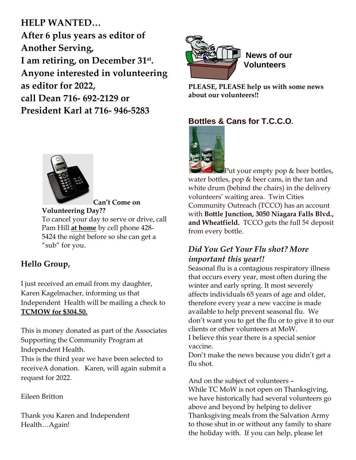# **HELP WANTED…**

**After 6 plus years as editor of Another Serving, I am retiring, on December 31st . Anyone interested in volunteering as editor for 2022, call Dean 716- 692-2129 or President Karl at 716- 946-5283**



**Can't Come on Volunteering Day??** To cancel your day to serve or drive, call Pam Hill **at home** by cell phone 428- 5424 the night before so she can get a "sub" for you.

## **Hello Group,**

I just received an email from my daughter, Karen Kagelmacher, informing us that Independent Health will be mailing a check to **TCMOW for \$304.50.**

This is money donated as part of the Associates Supporting the Community Program at Independent Health.

This is the third year we have been selected to receiveA donation. Karen, will again submit a request for 2022.

#### Eileen Britton

Thank you Karen and Independent Health…Again!



**PLEASE, PLEASE help us with some news about our volunteers!!**

## **Bottles & Cans for T.C.C.O.**



 $\mathbb{P}$ ut your empty pop & beer bottles, water bottles, pop & beer cans, in the tan and white drum (behind the chairs) in the delivery volunteers' waiting area. Twin Cities Community Outreach (TCCO) has an account with **Bottle Junction, 3050 Niagara Falls Blvd., and Wheatfield.** TCCO gets the full 5¢ deposit from every bottle.

## *Did You Get Your Flu shot? More important this year!!*

Seasonal flu is a contagious respiratory illness that occurs every year, most often during the winter and early spring. It most severely affects individuals 65 years of age and older, therefore every year a new vaccine is made available to help prevent seasonal flu. We don't want you to get the flu or to give it to our clients or other volunteers at MoW. I believe this year there is a special senior

vaccine.

Don't make the news because you didn't get a flu shot.

And on the subject of volunteers –

While TC MoW is not open on Thanksgiving, we have historically had several volunteers go above and beyond by helping to deliver Thanksgiving meals from the Salvation Army to those shut in or without any family to share the holiday with. If you can help, please let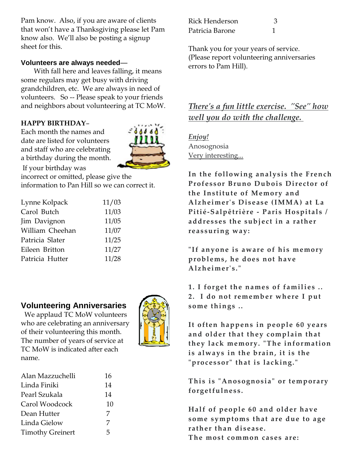Pam know. Also, if you are aware of clients that won't have a Thanksgiving please let Pam know also. We'll also be posting a signup sheet for this.

#### **Volunteers are always needed**—

 With fall here and leaves falling, it means some regulars may get busy with driving grandchildren, etc. We are always in need of volunteers. So -- Please speak to your friends and neighbors about volunteering at TC MoW.

#### **HAPPY BIRTHDAY**–

Each month the names and date are listed for volunteers and staff who are celebrating a birthday during the month.



If your birthday was incorrect or omitted, please give the information to Pan Hill so we can correct it.

| Lynne Kolpack   | 11/03 |
|-----------------|-------|
| Carol Butch     | 11/03 |
| Jim Davignon    | 11/05 |
| William Cheehan | 11/07 |
| Patricia Slater | 11/25 |
| Eileen Britton  | 11/27 |
| Patricia Hutter | 11/28 |

#### **Volunteering Anniversaries**

 We applaud TC MoW volunteers who are celebrating an anniversary of their volunteering this month. The number of years of service at TC MoW is indicated after each name.



| Alan Mazzuchelli        | 16 |
|-------------------------|----|
| Linda Finiki            | 14 |
| Pearl Szukala           | 14 |
| Carol Woodcock          | 10 |
| Dean Hutter             | 7  |
| Linda Gielow            | 7  |
| <b>Timothy Greinert</b> | 5  |

| Rick Henderson  |  |
|-----------------|--|
| Patricia Barone |  |

Thank you for your years of service. (Please report volunteering anniversaries errors to Pam Hill).

## *There's a fun little exercise. "See" how well you do with the challenge.*

*Enjoy!* Anosognosia Very interesting...

**In the following analysis the French Professor Bruno Dubois Director of the Institute of Memory and Alzheimer's Disease (IMMA) at La Pitié-Salpêtrière - Paris Hospitals / addresses the subject in a rather reassuring way:**

"If anyone is aware of his memory **problems, he does not have Alzheimer's."**

1. I forget the names of families .. **2. I do not remember where I put some things ..**

**It often happens in people 60 years and older that they complain that**  they lack memory. "The information **is always in the brain, it is the "processor" that is lacking."**

**This is "Anosognosia" or tem porary forget fulness.**

**Half of people 60 and older have some symptoms that are due to age rather than disease. The most common cases are:**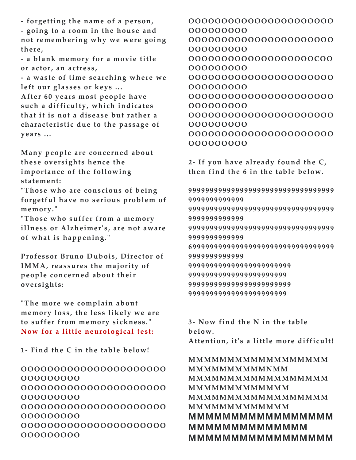**- forgetting the name o f a per son, - going to a r oom in the house and**  not remembering why we were going **there,**

**- a blank memory fo r a mo vie title or actor, an actress,**

**- a waste of time searching where we left our glasses or keys ...**

**After 60 years most people have such a difficulty, which indicates that it is not a disease but rather a characteristic due to the passage of years ...**

**Many people are concerned about thes e oversights hence the importance of the following statement:**

**"Those who are conscious of being forget ful have no serious problem of memor y."**

"Those who suffer from a memory **illness or Alzheimer's, are not aware of what is happening."**

**Professor Bruno Dubois, Director of IMMA, reassures the majority of people concerned about their oversights:**

**"The more we complain about**  memory loss, the less likely we are to suffer from memory sickness." Now for a little neurological test:

**1- Find the C in the table below!**

**OOOOOOOOOOOOOOOOOOOOOO OOOOOOOOO OOOOOOOOOOOOOOOOOOOOOO OOOOOOOOO OOOOOOOOOOOOOOOOOOOOOO OOOOOOOOO OOOOOOOOOOOOOOOOOOOOOO OOOOOOOOO**

**OOOOOOOOOOOOOOOOOOOOOO OOOOOOOOO OOOOOOOOOOOOOOOOOOOOOO OOOOOOOOO OOOOOOOOOOOOOOOOOOOCOO OOOOOOOOO OOOOOOOOOOOOOOOOOOOOOO OOOOOOOOO OOOOOOOOOOOOOOOOOOOOOO OOOOOOOOO OOOOOOOOOOOOOOOOOOOOOO OOOOOOOOO OOOOOOOOOOOOOOOOOOOOOO OOOOOOOOO**

**2- If you have already found the C, then find the 6 in the table below.**

**9999999999999999999999999999999999 9999999999999 9999999999999999999999999999999999 9999999999999 9999999999999999999999999999999999 9999999999999 6999999999999999999999999999999999 9999999999999 999999999999999999999999 99999999999999999999999 999999999999999999999999 99999999999999999999999**

**3- Now find the N in the table below. Attention, it's a little more difficult!**

#### **MMMMMMMMMMMMMMMMMM MMMMMMMMMMNMM MMMMMMMMMMMMMMMMMM MMMMMMMMMMMMMMM MMMMMMMMMMMMMMMMMM MMMMMMMMMMMMMMM MMMMMMMMMMMMMMMMM MMMMMMMMMMMMMM MMMMMMMMMMMMMMMMM**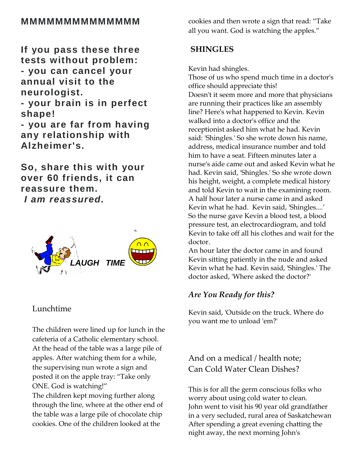## **MMMMMMMMMMMMMM**

**If you pass these three tests without problem: - you can cancel your annual visit to the neurologist. - your brain is in perfect** 

**shape! - you are far from having any relationship with Alzheimer's.**

**So, share this with your over 60 friends, it can reassure them.** *I am reassured.*



#### Lunchtime

The children were lined up for lunch in the cafeteria of a Catholic elementary school. At the head of the table was a large pile of apples. After watching them for a while, the supervising nun wrote a sign and posted it on the apple tray: "Take only ONE. God is watching!"

The children kept moving further along through the line, where at the other end of the table was a large pile of chocolate chip cookies. One of the children looked at the

cookies and then wrote a sign that read: "Take all you want. God is watching the apples."

#### **SHINGLES**

Kevin had shingles.

Those of us who spend much time in a doctor's office should appreciate this! Doesn't it seem more and more that physicians are running their practices like an assembly line? Here's what happened to Kevin. Kevin walked into a doctor's office and the receptionist asked him what he had. Kevin said: 'Shingles.' So she wrote down his name, address, medical insurance number and told him to have a seat. Fifteen minutes later a nurse's aide came out and asked Kevin what he had. Kevin said, 'Shingles.' So she wrote down his height, weight, a complete medical history and told Kevin to wait in the examining room. A half hour later a nurse came in and asked Kevin what he had. Kevin said, 'Shingles....' So the nurse gave Kevin a blood test, a blood pressure test, an electrocardiogram, and told Kevin to take off all his clothes and wait for the doctor.

An hour later the doctor came in and found Kevin sitting patiently in the nude and asked Kevin what he had. Kevin said, 'Shingles.' The doctor asked, 'Where asked the doctor?'

### *Are You Ready for this?*

Kevin said, 'Outside on the truck. Where do you want me to unload 'em?'

And on a medical / health note; Can Cold Water Clean Dishes?

This is for all the germ conscious folks who worry about using cold water to clean. John went to visit his 90 year old grandfather in a very secluded, rural area of Saskatchewan After spending a great evening chatting the night away, the next morning John's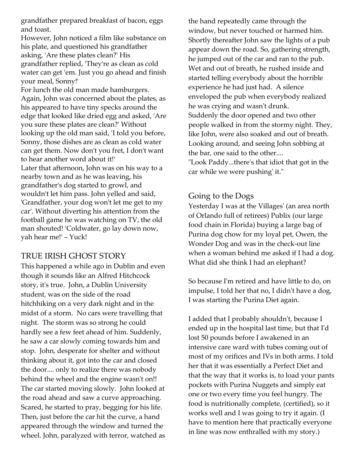grandfather prepared breakfast of bacon, eggs and toast.

However, John noticed a film like substance on his plate, and questioned his grandfather asking, 'Are these plates clean?' His grandfather replied, 'They're as clean as cold water can get 'em. Just you go ahead and finish your meal, Sonny!'

For lunch the old man made hamburgers. Again, John was concerned about the plates, as his appeared to have tiny specks around the edge that looked like dried egg and asked, 'Are you sure these plates are clean?' Without looking up the old man said, 'I told you before, Sonny, those dishes are as clean as cold water can get them. Now don't you fret, I don't want to hear another word about it!' Later that afternoon, John was on his way to a nearby town and as he was leaving, his grandfather's dog started to growl, and wouldn't let him pass. John yelled and said, 'Grandfather, your dog won't let me get to my car'. Without diverting his attention from the football game he was watching on TV, the old man shouted! 'Coldwater, go lay down now, yah hear me!' – Yuck!

#### TRUE IRISH GHOST STORY

This happened a while ago in Dublin and even though it sounds like an Alfred Hitchcock story, it's true. John, a Dublin University student, was on the side of the road hitchhiking on a very dark night and in the midst of a storm. No cars were travelling that night. The storm was so strong he could hardly see a few feet ahead of him. Suddenly, he saw a car slowly coming towards him and stop. John, desperate for shelter and without thinking about it, got into the car and closed the door.... only to realize there was nobody behind the wheel and the engine wasn't on!! The car started moving slowly. John looked at the road ahead and saw a curve approaching. Scared, he started to pray, begging for his life. Then, just before the car hit the curve, a hand appeared through the window and turned the wheel. John, paralyzed with terror, watched as

the hand repeatedly came through the window, but never touched or harmed him. Shortly thereafter John saw the lights of a pub appear down the road. So, gathering strength, he jumped out of the car and ran to the pub. Wet and out of breath, he rushed inside and started telling everybody about the horrible experience he had just had. A silence enveloped the pub when everybody realized he was crying and wasn't drunk. Suddenly the door opened and two other people walked in from the stormy night. They, like John, were also soaked and out of breath. Looking around, and seeing John sobbing at the bar, one said to the other....

"Look Paddy...there's that idiot that got in the car while we were pushing' it."

#### Going to the Dogs

Yesterday I was at the Villages' (an area north of Orlando full of retirees) Publix (our large food chain in Florida) buying a large bag of Purina dog chow for my loyal pet, Owen, the Wonder Dog and was in the check-out line when a woman behind me asked if I had a dog. What did she think I had an elephant?

So because I'm retired and have little to do, on impulse, I told her that no, I didn't have a dog, I was starting the Purina Diet again.

I added that I probably shouldn't, because I ended up in the hospital last time, but that I'd lost 50 pounds before I awakened in an intensive care ward with tubes coming out of most of my orifices and IVs in both arms. I told her that it was essentially a Perfect Diet and that the way that it works is, to load your pants pockets with Purina Nuggets and simply eat one or two every time you feel hungry. The food is nutritionally complete, (certified), so it works well and I was going to try it again. (I have to mention here that practically everyone in line was now enthralled with my story.)